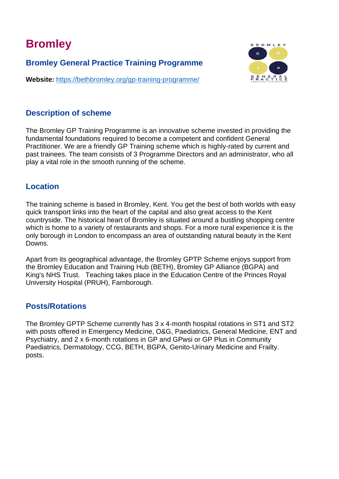# **Bromley**

**Bromley General Practice Training Programme**

**Website:** <https://bethbromley.org/gp-training-programme/>

# **BROMLEY**  $\mathbf{c}$

### **Description of scheme**

The Bromley GP Training Programme is an innovative scheme invested in providing the fundamental foundations required to become a competent and confident General Practitioner. We are a friendly GP Training scheme which is highly-rated by current and past trainees. The team consists of 3 Programme Directors and an administrator, who all play a vital role in the smooth running of the scheme.

#### **Location**

The training scheme is based in Bromley, Kent. You get the best of both worlds with easy quick transport links into the heart of the capital and also great access to the Kent countryside. The historical heart of Bromley is situated around a bustling shopping centre which is home to a variety of restaurants and shops. For a more rural experience it is the only borough in London to encompass an area of outstanding natural beauty in the Kent Downs.

Apart from its geographical advantage, the Bromley GPTP Scheme enjoys support from the Bromley Education and Training Hub (BETH), Bromley GP Alliance (BGPA) and King's NHS Trust. Teaching takes place in the Education Centre of the Princes Royal University Hospital (PRUH), Farnborough.

#### **Posts/Rotations**

The Bromley GPTP Scheme currently has 3 x 4-month hospital rotations in ST1 and ST2 with posts offered in Emergency Medicine, O&G, Paediatrics, General Medicine, ENT and Psychiatry, and 2 x 6-month rotations in GP and GPwsi or GP Plus in Community Paediatrics, Dermatology, CCG, BETH, BGPA, Genito-Urinary Medicine and Frailty. posts.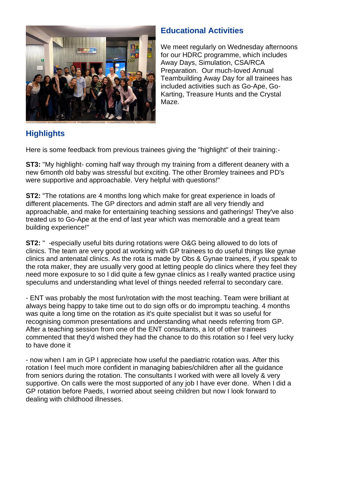

# **Educational Activities**

We meet regularly on Wednesday afternoons for our HDRC programme, which includes Away Days, Simulation, CSA/RCA Preparation. Our much-loved Annual Teambuilding Away Day for all trainees has included activities such as Go-Ape, Go-Karting, Treasure Hunts and the Crystal Maze.

# **Highlights**

Here is some feedback from previous trainees giving the "highlight" of their training:-

**ST3:** "My highlight- coming half way through my training from a different deanery with a new 6month old baby was stressful but exciting. The other Bromley trainees and PD's were supportive and approachable. Very helpful with questions!"

**ST2:** "The rotations are 4 months long which make for great experience in loads of different placements. The GP directors and admin staff are all very friendly and approachable, and make for entertaining teaching sessions and gatherings! They've also treated us to Go-Ape at the end of last year which was memorable and a great team building experience!"

**ST2:** " -especially useful bits during rotations were O&G being allowed to do lots of clinics. The team are very good at working with GP trainees to do useful things like gynae clinics and antenatal clinics. As the rota is made by Obs & Gynae trainees, if you speak to the rota maker, they are usually very good at letting people do clinics where they feel they need more exposure to so I did quite a few gynae clinics as I really wanted practice using speculums and understanding what level of things needed referral to secondary care.

- ENT was probably the most fun/rotation with the most teaching. Team were brilliant at always being happy to take time out to do sign offs or do impromptu teaching. 4 months was quite a long time on the rotation as it's quite specialist but it was so useful for recognising common presentations and understanding what needs referring from GP. After a teaching session from one of the ENT consultants, a lot of other trainees commented that they'd wished they had the chance to do this rotation so I feel very lucky to have done it

- now when I am in GP I appreciate how useful the paediatric rotation was. After this rotation I feel much more confident in managing babies/children after all the guidance from seniors during the rotation. The consultants I worked with were all lovely & very supportive. On calls were the most supported of any job I have ever done. When I did a GP rotation before Paeds, I worried about seeing children but now I look forward to dealing with childhood illnesses.